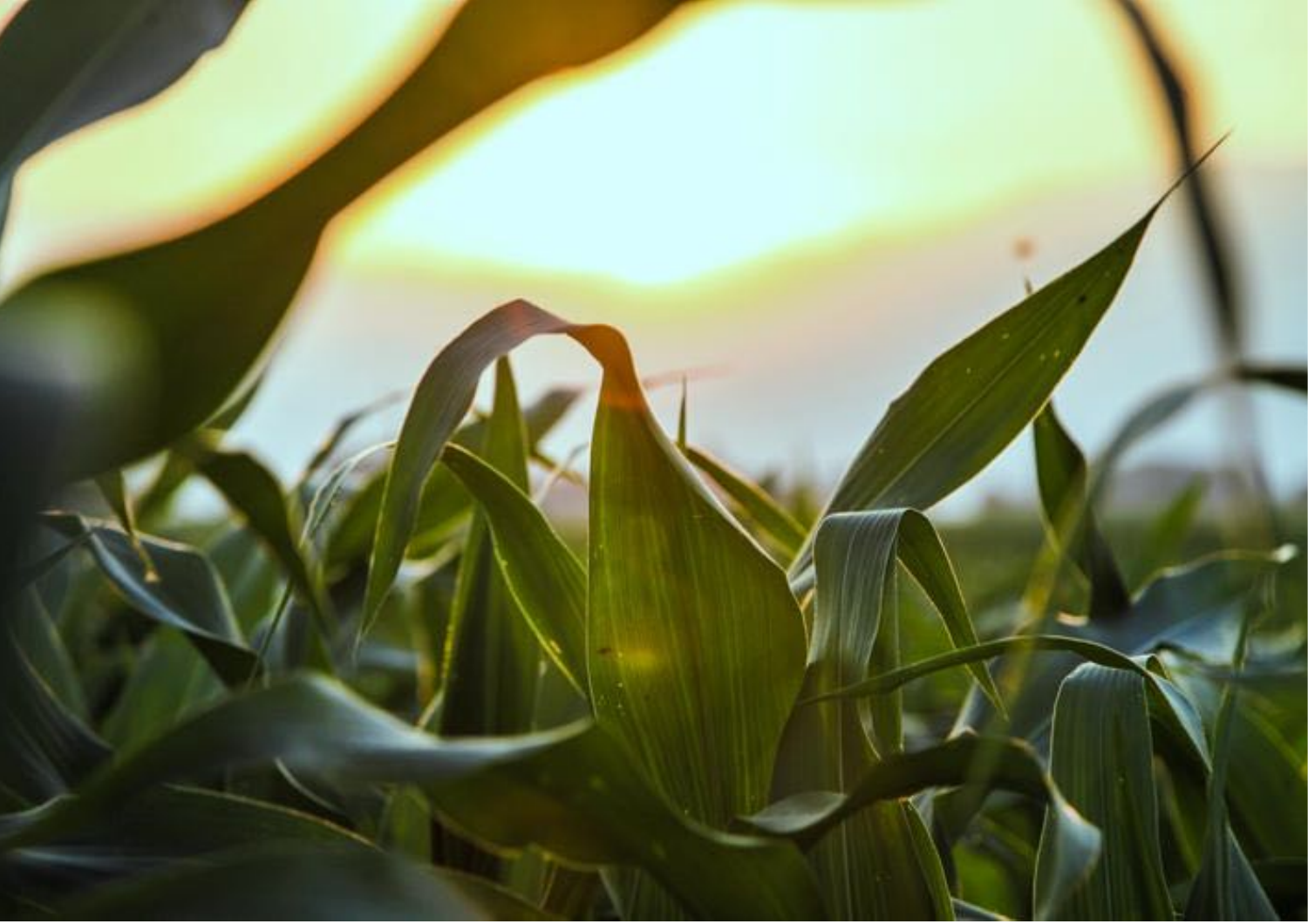